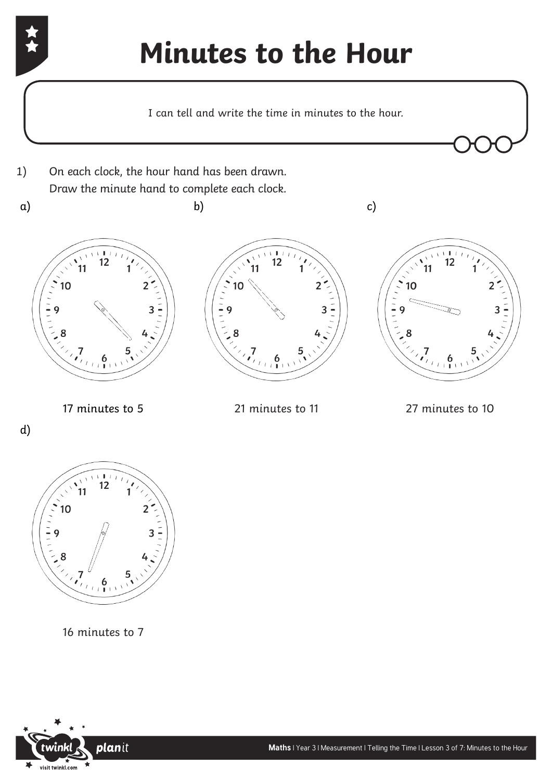## **Minutes to the Hour**

I can tell and write the time in minutes to the hour.



d)



16 minutes to 7

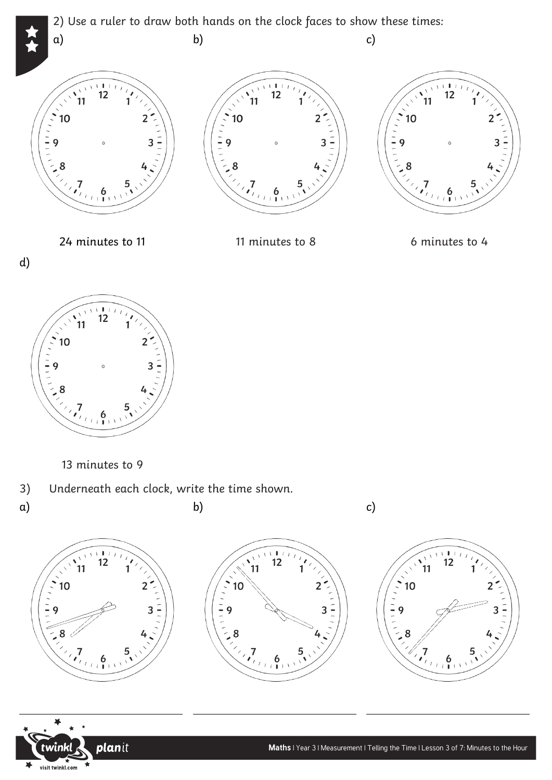







13 minutes to 9

3) Underneath each clock, write the time shown.

 $\overline{a}$ 

a)





 $\overline{a}$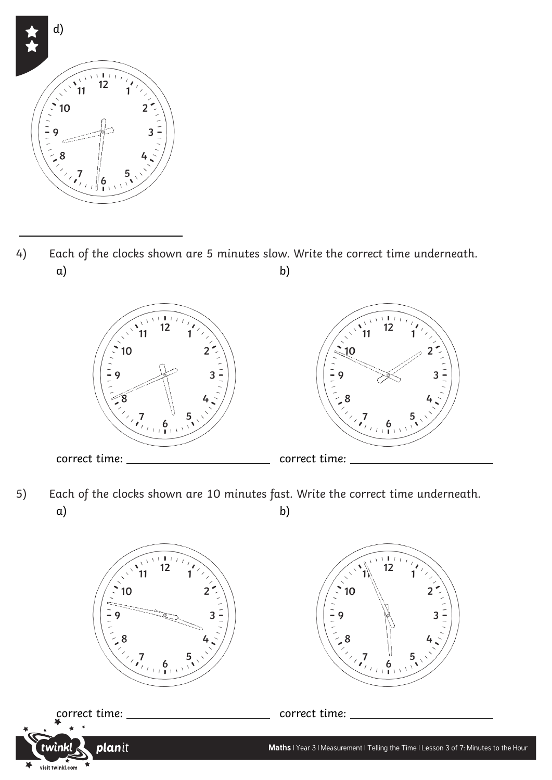

 $\overline{a}$ 

a) b) 4) Each of the clocks shown are 5 minutes slow. Write the correct time underneath.



a) b) 5) Each of the clocks shown are 10 minutes fast. Write the correct time underneath.